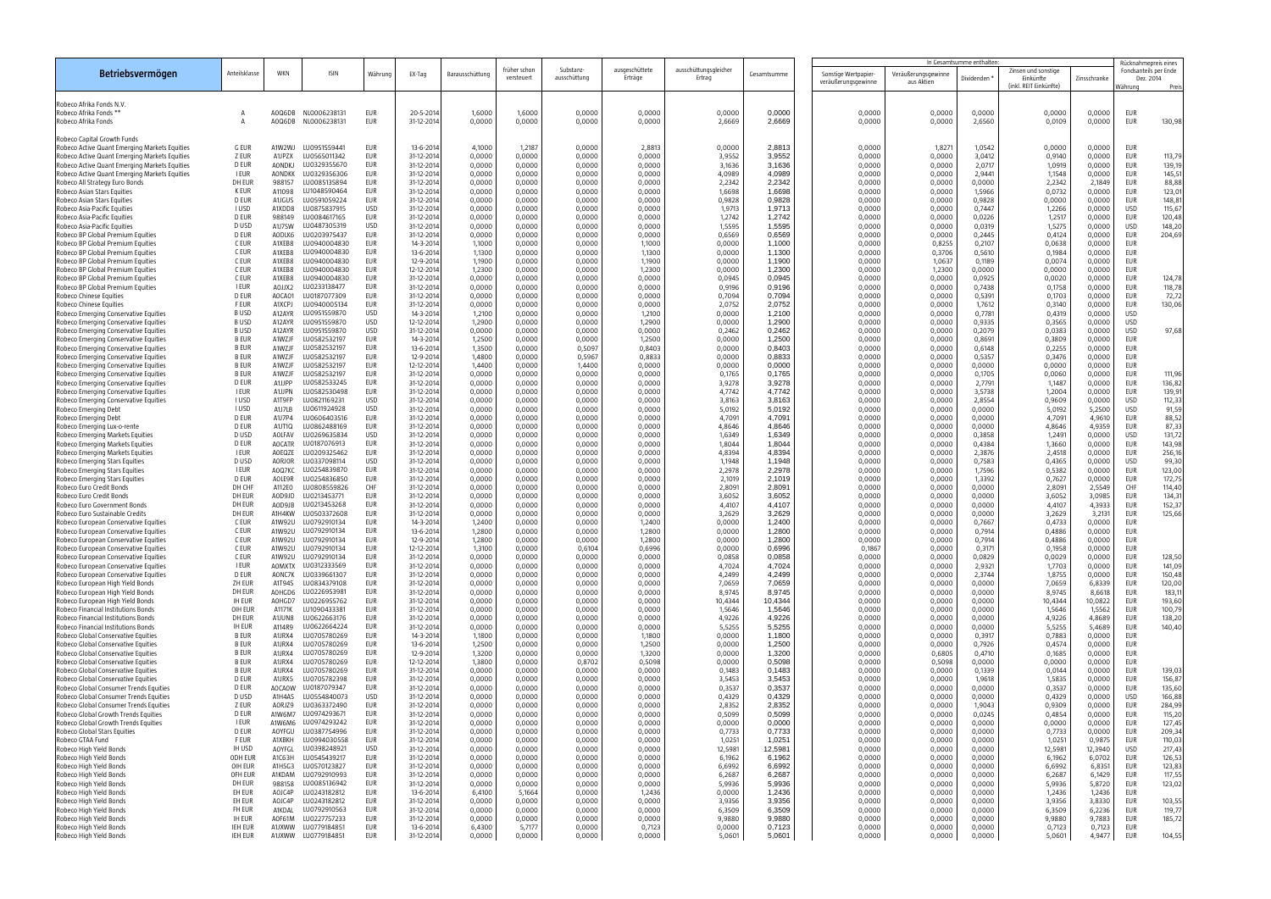|                                                                                                |                              |                         |                                     |                          |                          |                  |                            |                           |                           |                                 |                   | In Gesamtsumme enthalten                    |                                   |                  |                                                            | Rücknahmepreis eines |                                               |                  |
|------------------------------------------------------------------------------------------------|------------------------------|-------------------------|-------------------------------------|--------------------------|--------------------------|------------------|----------------------------|---------------------------|---------------------------|---------------------------------|-------------------|---------------------------------------------|-----------------------------------|------------------|------------------------------------------------------------|----------------------|-----------------------------------------------|------------------|
| Betriebsvermögen                                                                               | Anteilsklasse                | WKN                     | <b>ISIN</b>                         | Währung                  | EX-Tag                   | Barausschüttung  | früher schon<br>versteuert | Substanz-<br>ausschüttung | ausgeschüttete<br>Erträge | ausschüttungsgleicher<br>Ertrag | Gesamtsumme       | Sonstige Wertpapier-<br>veräußerungsgewinne | Veräußerungsgewinne<br>aus Aktien | Dividenden       | Zinsen und sonstige<br>Einkünfte<br>(inkl. REIT Einkünfte) | Zinsschranke         | Fondsanteils per Ende<br>Dez. 2014<br>Nähruna | Preis            |
| Robeco Afrika Fonds N.V.                                                                       |                              |                         |                                     |                          |                          |                  |                            |                           |                           |                                 |                   |                                             |                                   |                  |                                                            |                      |                                               |                  |
| Robeco Afrika Fonds *<br>Robeco Afrika Fonds                                                   | A                            | AOQ6DB<br>AOQ6DB        | NL0006238131<br>NL0006238131        | <b>EUR</b><br><b>EUR</b> | 20-5-201<br>31-12-2014   | 1,6000<br>0,0000 | 1,6000<br>0,0000           | 0,0000<br>0,0000          | 0,0000<br>0,0000          | 0,0000<br>2,6669                | 0,0000<br>2,6669  | 0,0000<br>0,0000                            | 0,0000<br>0,0000                  | 0,0000<br>2,6560 | 0,0000<br>0,0109                                           | 0,0000<br>0,0000     | <b>EUR</b><br><b>EUR</b>                      | 130,98           |
| Robeco Capital Growth Funds                                                                    |                              |                         |                                     |                          |                          |                  |                            |                           |                           |                                 |                   |                                             |                                   |                  |                                                            |                      |                                               |                  |
| Robeco Active Quant Emerging Markets Equities                                                  | <b>G EUR</b>                 | A1W2WJ                  | LU0951559441                        | <b>EUR</b>               | 13-6-201                 | 4,1000           | 1,2187                     | 0,0000                    | 2,8813                    | 0,0000                          | 2,8813            | 0,0000                                      | 1,827                             | 1,0542           | 0,0000                                                     | 0,0000               | <b>EUR</b>                                    |                  |
| Robeco Active Quant Emerging Markets Equities                                                  | Z EUR                        | A1JPZX                  | LU0565011342                        | <b>EUR</b>               | 31-12-2014               | 0,0000           | 0,0000                     | 0,0000                    | 0,0000                    | 3,9552                          | 3,9552            | 0,0000                                      | 0,0000                            | 3,0412           | 0,9140                                                     | 0,0000               | <b>EUR</b>                                    | 113,79           |
| Robeco Active Quant Emerging Markets Equities<br>Robeco Active Quant Emerging Markets Equities | D EUR<br><b>I EUR</b>        | AONDKJ<br><b>AONDKK</b> | LU0329355670<br>LU0329356306        | EUR<br>EUR               | 31-12-2014<br>31-12-2014 | 0,0000<br>0,0000 | 0,0000<br>0,0000           | 0,0000<br>0,0000          | 0,0000<br>0,0000          | 3,1636<br>4,0989                | 3,1636<br>4,0989  | 0,0000<br>0,0000                            | 0,0000<br>0,0000                  | 2,0717<br>2,9441 | 1,0919<br>1,1548                                           | 0,0000<br>0,0000     | <b>EUR</b><br><b>EUR</b>                      | 139,19<br>145,51 |
| Robeco All Strategy Euro Bonds                                                                 | DH EUR                       | 988157                  | LU0085135894                        | <b>EUR</b>               | 31-12-2014               | 0,0000           | 0,0000                     | 0,0000                    | 0,0000                    | 2,2342                          | 2,2342            | 0,0000                                      | 0,0000                            | 0,0000           | 2,2342                                                     | 2,1849               | <b>EUR</b>                                    | 88,88            |
| Robeco Asian Stars Equities                                                                    | <b>K EUR</b>                 | A11098                  | LU1048590464                        | <b>EUR</b>               | 31-12-2014               | 0,0000           | 0,0000                     | 0,0000                    | 0,0000                    | 1,6698                          | 1,6698            | 0,0000                                      | 0,0000                            | 1,5966           | 0,0732                                                     | 0,0000               | <b>EUR</b>                                    | 123,01           |
| Robeco Asian Stars Equities<br>Robeco Asia-Pacific Equities                                    | <b>D EUR</b><br><b>IUSD</b>  | A1JGUS<br>A1XDD8        | LU0591059224<br>LU0875837915        | EUR<br><b>USD</b>        | 31-12-2014<br>31-12-2014 | 0,0000<br>0,0000 | 0,0000<br>0,0000           | 0,0000<br>0,0000          | 0,0000<br>0,0000          | 0,9828<br>1,9713                | 0,9828<br>1,9713  | 0,0000<br>0,0000                            | 0,0000<br>0,0000                  | 0,9828<br>0,7447 | 0,0000<br>1,2266                                           | 0,0000<br>0,0000     | <b>EUR</b><br><b>USD</b>                      | 148,81<br>115,67 |
| Robeco Asia-Pacific Equities                                                                   | <b>D EUR</b>                 | 988149                  | LU0084617165                        | <b>EUR</b>               | 31-12-2014               | 0,0000           | 0,0000                     | 0,0000                    | 0,0000                    | 1,2742                          | 1,2742            | 0,0000                                      | 0,0000                            | 0,0226           | 1,2517                                                     | 0,0000               | <b>EUR</b>                                    | 120,48           |
| Robeco Asia-Pacific Equities                                                                   | D USD                        | A1J7SW                  | LU0487305319                        | <b>USD</b>               | 31-12-2014               | 0,0000           | 0,0000                     | 0,0000                    | 0,0000                    | 1,5595                          | 1,5595            | 0,0000                                      | 0,0000                            | 0,0319           | 1,5275                                                     | 0,0000               | <b>USD</b>                                    | 148,20           |
| Robeco BP Global Premium Equities<br>Robeco BP Global Premium Equities                         | <b>D EUR</b><br>C EUR        | AODLK6<br>A1XEB8        | LU0203975437<br>LU0940004830        | <b>EUR</b><br><b>EUR</b> | 31-12-2014<br>14-3-2014  | 0,0000<br>1,1000 | 0,0000<br>0,0000           | 0,0000<br>0,0000          | 0,0000<br>1,1000          | 0,6569<br>0,0000                | 0,6569<br>1,1000  | 0,0000<br>0,0000                            | 0,0000<br>0,8255                  | 0,2445<br>0,2107 | 0,4124<br>0,0638                                           | 0,0000<br>0,0000     | <b>EUR</b><br><b>EUR</b>                      | 204,69           |
| Robeco BP Global Premium Equities                                                              | C EUR                        | A1XEB8                  | LU0940004830                        | <b>EUR</b>               | 13-6-2014                | 1,1300           | 0,0000                     | 0,0000                    | 1,1300                    | 0,0000                          | 1,1300            | 0,0000                                      | 0,3706                            | 0,5610           | 0,1984                                                     | 0,0000               | <b>EUR</b>                                    |                  |
| Robeco BP Global Premium Equities                                                              | C EUR                        | A1XEB8                  | LU0940004830                        | EUR                      | 12-9-2014                | 1,1900           | 0,0000                     | 0,0000                    | 1,1900                    | 0,0000                          | 1,1900            | 0,0000                                      | 1,0637                            | 0,1189           | 0,0074                                                     | 0,0000               | <b>EUR</b>                                    |                  |
| Robeco BP Global Premium Equities                                                              | C EUR                        | A1XEB8                  | LU0940004830                        | <b>EUR</b>               | 12-12-2014               | 1,2300           | 0,0000                     | 0,0000                    | 1,2300                    | 0,0000                          | 1,2300            | 0,0000                                      | 1,2300                            | 0,0000           | 0,0000                                                     | 0,0000               | <b>EUR</b>                                    |                  |
| Robeco BP Global Premium Equities<br>Robeco BP Global Premium Equities                         | C EUR<br><b>I EUR</b>        | A1XEB8<br>AOJJX2        | LU0940004830<br>LU0233138477        | <b>EUR</b><br><b>EUR</b> | 31-12-2014<br>31-12-2014 | 0,0000<br>0,0000 | 0,0000<br>0,0000           | 0,0000<br>0,0000          | 0,0000<br>0,0000          | 0,0945<br>0,9196                | 0,0945<br>0,9196  | 0,0000<br>0,0000                            | 0,0000<br>0,0000                  | 0,0925<br>0,7438 | 0,0020<br>0,1758                                           | 0,0000<br>0,0000     | <b>EUR</b><br><b>EUR</b>                      | 124,78<br>118,78 |
| Robeco Chinese Equities                                                                        | <b>D EUR</b>                 | AOCA01                  | LU0187077309                        | <b>EUR</b>               | 31-12-2014               | 0,0000           | 0,0000                     | 0,0000                    | 0,0000                    | 0,7094                          | 0,7094            | 0,0000                                      | 0,0000                            | 0,5391           | 0,1703                                                     | 0,0000               | <b>EUR</b>                                    | 72,72            |
| Robeco Chinese Equities                                                                        | <b>FEUR</b>                  | A1XCPJ                  | LU0940005134                        | EUR                      | 31-12-2014               | 0,0000           | 0,0000                     | 0,0000                    | 0,0000                    | 2,0752                          | 2,0752            | 0,0000                                      | 0,0000                            | 1,7612           | 0,3140                                                     | 0,0000               | <b>EUR</b>                                    | 130,06           |
| Robeco Emerging Conservative Equities                                                          | <b>BUSD</b>                  | A12AYR                  | LU0951559870                        | <b>USD</b>               | 14-3-2014                | 1,2100           | 0,0000                     | 0,0000                    | 1,2100                    | 0,0000                          | 1,2100            | 0,0000                                      | 0,0000                            | 0,7781           | 0,4319                                                     | 0,0000               | <b>USD</b>                                    |                  |
| Robeco Emerging Conservative Equities<br>Robeco Emerging Conservative Equities                 | <b>BUSD</b><br><b>BUSD</b>   | A12AYR<br>A12AYR        | LU0951559870<br>LU0951559870        | <b>USD</b><br><b>USD</b> | 12-12-2014<br>31-12-2014 | 1,2900<br>0,0000 | 0,0000<br>0,0000           | 0,0000<br>0,0000          | 1,2900<br>0,0000          | 0,0000<br>0,2462                | 1,2900<br>0,2462  | 0,0000<br>0,0000                            | 0,0000<br>0,0000                  | 0,9335<br>0,2079 | 0,3565<br>0,0383                                           | 0,0000<br>0,0000     | <b>USD</b><br><b>USD</b>                      | 97,68            |
| Robeco Emerging Conservative Equities                                                          | <b>B EUR</b>                 | A1WZJF                  | LU0582532197                        | <b>EUR</b>               | 14-3-2014                | 1,2500           | 0,0000                     | 0,0000                    | 1,2500                    | 0,0000                          | 1,2500            | 0,0000                                      | 0,0000                            | 0,8691           | 0,3809                                                     | 0,0000               | <b>EUR</b>                                    |                  |
| Robeco Emerging Conservative Equities                                                          | <b>B EUR</b>                 | A1WZJF                  | LU0582532197                        | <b>EUR</b>               | 13-6-2014                | 1,3500           | 0,0000                     | 0,5097                    | 0,8403                    | 0,0000                          | 0,8403            | 0,0000                                      | 0,0000                            | 0,6148           | 0,2255                                                     | 0,0000               | <b>EUR</b>                                    |                  |
| Robeco Emerging Conservative Equities                                                          | <b>B EUR</b><br><b>B EUR</b> | A1WZJF<br>A1WZJF        | LU0582532197                        | <b>EUR</b><br><b>EUR</b> | 12-9-2014                | 1,4800           | 0,0000                     | 0,5967                    | 0,8833                    | 0,0000                          | 0,8833<br>0,0000  | 0,0000                                      | 0,0000                            | 0,5357           | 0,3476                                                     | 0,0000               | <b>EUR</b><br><b>EUR</b>                      |                  |
| Robeco Emerging Conservative Equities<br>Robeco Emerging Conservative Equities                 | <b>B EUR</b>                 | A1WZJF                  | LU0582532197<br>LU0582532197        | <b>EUR</b>               | 12-12-2014<br>31-12-2014 | 1,4400<br>0,0000 | 0,0000<br>0,0000           | 1,4400<br>0,0000          | 0,0000<br>0,0000          | 0,0000<br>0,1765                | 0,1765            | 0,0000<br>0,0000                            | 0,0000<br>0,0000                  | 0,0000<br>0,1705 | 0,0000<br>0,0060                                           | 0,0000<br>0,0000     | <b>EUR</b>                                    | 111,96           |
| Robeco Emerging Conservative Equities                                                          | <b>D EUR</b>                 | A1JJPP                  | LU0582533245                        | EUR                      | 31-12-2014               | 0,0000           | 0,0000                     | 0,0000                    | 0,0000                    | 3,9278                          | 3,9278            | 0,0000                                      | 0,0000                            | 2,7791           | 1,1487                                                     | 0,0000               | <b>EUR</b>                                    | 136,82           |
| Robeco Emerging Conservative Equities                                                          | <b>I EUR</b>                 | A1JJPN                  | LU0582530498                        | EUR                      | 31-12-2014               | 0,0000           | 0,0000                     | 0,0000                    | 0,0000                    | 4,7742                          | 4,7742            | 0,0000                                      | 0,0000                            | 3,5738           | 1,2004                                                     | 0,0000               | <b>EUR</b>                                    | 139,91           |
| Robeco Emerging Conservative Equities<br>Robeco Emerging Debt                                  | <b>IUSD</b><br><b>IUSD</b>   | A1T9FP<br>A1J7LB        | LU0821169231<br>LU0611924928        | <b>USD</b><br><b>USD</b> | 31-12-2014<br>31-12-2014 | 0,0000<br>0,0000 | 0,0000<br>0,0000           | 0,0000<br>0,0000          | 0,0000<br>0,0000          | 3,8163<br>5,0192                | 3,8163<br>5,0192  | 0,0000<br>0,0000                            | 0,0000<br>0,0000                  | 2,8554<br>0,0000 | 0,9609<br>5,0192                                           | 0,0000<br>5,2500     | <b>USD</b><br><b>USD</b>                      | 112,33<br>91,59  |
| Robeco Emerging Debt                                                                           | <b>D EUR</b>                 | A1J7P4                  | LU0606403516                        | EUR                      | 31-12-2014               | 0,0000           | 0,0000                     | 0,0000                    | 0,0000                    | 4,7091                          | 4,7091            | 0,0000                                      | 0,0000                            | 0,0000           | 4,7091                                                     | 4,9610               | <b>EUR</b>                                    | 88,52            |
| Robeco Emerging Lux-o-rente                                                                    | <b>D EUR</b>                 | A1JT1Q                  | LU0862488169                        | EUR                      | 31-12-2014               | 0,0000           | 0,0000                     | 0,0000                    | 0,0000                    | 4,8646                          | 4,8646            | 0,0000                                      | 0,0000                            | 0,0000           | 4,8646                                                     | 4,9359               | <b>EUR</b>                                    | 87,33            |
| Robeco Emerging Markets Equities                                                               | D USD                        | AOLFAV                  | LU0269635834                        | <b>USD</b>               | 31-12-2014               | 0,0000           | 0,0000                     | 0,0000                    | 0,0000                    | 1,6349                          | 1,6349            | 0,0000                                      | 0,0000                            | 0,3858           | 1,2491                                                     | 0,0000               | <b>USD</b>                                    | 131,72           |
| Robeco Emerging Markets Equities<br>Robeco Emerging Markets Equities                           | <b>D EUR</b><br><b>I EUR</b> | <b>AOCATR</b><br>AOEQZE | LU0187076913<br>LU0209325462        | EUR<br><b>EUR</b>        | 31-12-2014<br>31-12-2014 | 0,0000<br>0,0000 | 0,0000<br>0,0000           | 0,0000<br>0,0000          | 0,0000<br>0,0000          | 1,8044<br>4,8394                | 1,8044<br>4,8394  | 0,0000<br>0,0000                            | 0,0000<br>0,0000                  | 0,4384<br>2,3876 | 1,3660<br>2,4518                                           | 0,0000<br>0,0000     | <b>EUR</b><br><b>EUR</b>                      | 143,98<br>256,16 |
| Robeco Emerging Stars Equities                                                                 | D USD                        | AORJOR                  | LU0337098114                        | <b>USD</b>               | 31-12-2014               | 0,0000           | 0,0000                     | 0,0000                    | 0,0000                    | 1,1948                          | 1,1948            | 0,0000                                      | 0,0000                            | 0,7583           | 0,4365                                                     | 0,0000               | <b>USD</b>                                    | 99,30            |
| Robeco Emerging Stars Equities                                                                 | <b>I EUR</b>                 | AOQ7KC                  | LU0254839870                        | <b>EUR</b>               | 31-12-2014               | 0,0000           | 0,0000                     | 0,0000                    | 0,0000                    | 2,2978                          | 2,2978            | 0,0000                                      | 0,0000                            | 1,7596           | 0,5382                                                     | 0,0000               | <b>EUR</b>                                    | 123,00           |
| Robeco Emerging Stars Equities<br>Robeco Euro Credit Bonds                                     | <b>D EUR</b><br>DH CHF       | AOLE9R                  | LU0254836850<br>LU0808559826        | <b>EUR</b><br>CHF        | 31-12-2014               | 0,0000           | 0,0000                     | 0,0000                    | 0,0000                    | 2,1019                          | 2,1019            | 0,0000                                      | 0,0000                            | 1,3392           | 0,7627                                                     | 0,0000               | <b>EUR</b><br>CHF                             | 172,75           |
| Robeco Euro Credit Bonds                                                                       | DH EUR                       | A112E0<br>AOD9JD        | LU0213453771                        | <b>EUR</b>               | 31-12-2014<br>31-12-2014 | 0,0000<br>0,0000 | 0,0000<br>0,0000           | 0,0000<br>0,0000          | 0,0000<br>0,0000          | 2,8091<br>3,6052                | 2,8091<br>3,6052  | 0,0000<br>0,0000                            | 0,0000<br>0,0000                  | 0,0000<br>0,0000 | 2,8091<br>3,6052                                           | 2,5549<br>3,0985     | <b>EUR</b>                                    | 114,40<br>134,31 |
| Robeco Euro Government Bonds                                                                   | DH EUR                       | AOD9JB                  | LU0213453268                        | <b>EUR</b>               | 31-12-2014               | 0,0000           | 0,0000                     | 0,0000                    | 0,0000                    | 4,4107                          | 4,4107            | 0,0000                                      | 0,0000                            | 0,0000           | 4,4107                                                     | 4,3933               | <b>EUR</b>                                    | 152,37           |
| Robeco Euro Sustainable Credits                                                                | DH EUR                       | A1H4KW                  | LU0503372608                        | EUR                      | 31-12-2014               | 0,0000           | 0,0000                     | 0,0000                    | 0,0000                    | 3,2629                          | 3,2629            | 0,0000                                      | 0,0000                            | 0,0000           | 3,2629                                                     | 3,2131               | <b>EUR</b>                                    | 125,66           |
| Robeco European Conservative Equities<br>Robeco European Conservative Equities                 | C EUR<br>C EUR               | A1W92U                  | LU0792910134<br>A1W92U LU0792910134 | <b>EUR</b><br><b>EUR</b> | 14-3-2014<br>13-6-2014   | 1,2400<br>1,2800 | 0,0000<br>0,0000           | 0,0000<br>0,0000          | 1,2400<br>1,2800          | 0,0000<br>0,0000                | 1,2400<br>1.2800  | 0,0000<br>0.0000                            | 0,0000<br>0,0000                  | 0,7667<br>0.7914 | 0,4733<br>0,4886                                           | 0,0000<br>0,0000     | <b>EUR</b><br><b>EUR</b>                      |                  |
| Robeco European Conservative Equities                                                          | C EUR                        | A1W92U                  | LU0792910134                        | EUR                      | 12-9-2014                | 1,2800           | 0,0000                     | 0,0000                    | 1,2800                    | 0,0000                          | 1,2800            | 0,0000                                      | 0,0000                            | 0,7914           | 0,4886                                                     | 0,0000               | EUR                                           |                  |
| Robeco European Conservative Equities                                                          | C EUR                        | A1W92U                  | LU0792910134                        | EUR                      | 12-12-2014               | 1,3100           | 0,0000                     | 0,6104                    | 0,6996                    | 0,0000                          | 0,6996            | 0,1867                                      | 0,0000                            | 0,3171           | 0,1958                                                     | 0,0000               | <b>EUR</b>                                    |                  |
| Robeco European Conservative Equities                                                          | C EUR                        |                         | A1W92U LU0792910134                 | EUR                      | 31-12-2014               | 0,0000           | 0,0000                     | 0,0000                    | 0,0000                    | 0,0858                          | 0,0858            | 0,0000                                      | 0,0000                            | 0,0829           | 0,0029                                                     | 0,0000               | <b>EUR</b>                                    | 128,50           |
| Robeco European Conservative Equities<br>Robeco European Conservative Equities                 | <b>I EUR</b><br><b>D EUR</b> | AOMXTX<br>AONC7K        | LU0312333569<br>LU0339661307        | EUR<br>EUR               | 31-12-2014<br>31-12-2014 | 0,0000<br>0,0000 | 0,0000<br>0,0000           | 0,0000<br>0,0000          | 0,0000<br>0,0000          | 4,7024<br>4,2499                | 4,7024<br>4,2499  | 0,0000<br>0,0000                            | 0,0000<br>0,0000                  | 2,9321<br>2,3744 | 1,7703<br>1,8755                                           | 0,0000<br>0,0000     | <b>EUR</b><br><b>EUR</b>                      | 141,09<br>150,48 |
| Robeco European High Yield Bonds                                                               | ZH EUR                       | A1T94S                  | LU0834379108                        | EUR                      | 31-12-2014               | 0,0000           | 0,0000                     | 0,0000                    | 0,0000                    | 7,0659                          | 7,0659            | 0,0000                                      | 0,0000                            | 0,0000           | 7,0659                                                     | 6,8339               | <b>EUR</b>                                    | 120,00           |
| Robeco European High Yield Bonds                                                               | DH EUR                       | AOHGD6                  | LU0226953981                        | EUR                      | 31-12-2014               | 0,0000           | 0,0000                     | 0,0000                    | 0,0000                    | 8,9745                          | 8,9745            | 0,0000                                      | 0,0000                            | 0,0000           | 8,9745                                                     | 8,6618               | <b>EUR</b>                                    | 183,11           |
| Robeco European High Yield Bonds<br>Robeco Financial Institutions Bonds                        | IH EUR<br>OIH EUR            | AOHGD7<br>A1171K        | LU0226955762<br>LU1090433381        | EUR<br>EUR               | 31-12-2014<br>31-12-2014 | 0,0000<br>0,0000 | 0,0000<br>0,0000           | 0,0000<br>0,0000          | 0,0000<br>0,0000          | 10,4344<br>1,5646               | 10,4344<br>1,5646 | 0,0000<br>0,0000                            | 0,0000<br>0,0000                  | 0,0000<br>0,0000 | 10,4344<br>1,5646                                          | 10,0822<br>1,5562    | <b>EUR</b><br><b>EUR</b>                      | 193,60<br>100,79 |
| Robeco Financial Institutions Bonds                                                            | DH EUR                       | A1JUN8                  | LU0622663176                        | EUR                      | 31-12-2014               | 0,0000           | 0,0000                     | 0,0000                    | 0,0000                    | 4,9226                          | 4,9226            | 0,0000                                      | 0,0000                            | 0,0000           | 4,9226                                                     | 4,8689               | <b>EUR</b>                                    | 138,20           |
| Robeco Financial Institutions Bonds                                                            | IH EUR                       | A114R9                  | LU0622664224                        | <b>EUR</b>               | 31-12-2014               | 0,0000           | 0,0000                     | 0,0000                    | 0,0000                    | 5,5255                          | 5,5255            | 0,0000                                      | 0,0000                            | 0,0000           | 5,5255                                                     | 5,4689               | <b>EUR</b>                                    | 140,40           |
| Robeco Global Conservative Equities                                                            | <b>B EUR</b>                 | A1JRX4                  | LU0705780269                        | EUR                      | 14-3-2014                | 1,1800           | 0,0000                     | 0,0000                    | 1,1800                    | 0,0000                          | 1,1800            | 0,0000                                      | 0,0000                            | 0,3917           | 0,7883                                                     | 0,0000               | <b>EUR</b>                                    |                  |
| Robeco Global Conservative Equities<br>Robeco Global Conservative Equities                     | <b>B EUR</b><br><b>B EUR</b> | A1JRX4<br>A1JRX4        | LU0705780269<br>LU0705780269        | EUR<br><b>EUR</b>        | 13-6-2014<br>12-9-2014   | 1,2500<br>1,3200 | 0,0000<br>0,0000           | 0,0000<br>0,0000          | 1,2500<br>1,3200          | 0,0000<br>0,0000                | 1,2500<br>1,3200  | 0,0000<br>0,0000                            | 0,0000<br>0,6805                  | 0,7926<br>0,4710 | 0,4574<br>0,1685                                           | 0,0000<br>0,0000     | <b>EUR</b><br><b>EUR</b>                      |                  |
| Robeco Global Conservative Equities                                                            | <b>B EUR</b>                 | A1JRX4                  | LU0705780269                        | EUR                      | 12-12-2014               | 1,3800           | 0,0000                     | 0,8702                    | 0,5098                    | 0,0000                          | 0,5098            | 0,0000                                      | 0,5098                            | 0,0000           | 0,0000                                                     | 0,0000               | <b>EUR</b>                                    |                  |
| Robeco Global Conservative Equities                                                            | <b>B EUR</b>                 | A1JRX4                  | LU0705780269                        | EUR                      | 31-12-2014               | 0,0000           | 0,0000                     | 0,0000                    | 0,0000                    | 0,1483                          | 0,1483            | 0,0000                                      | 0,0000                            | 0,1339           | 0,0144                                                     | 0,0000               | <b>EUR</b>                                    | 139,03           |
| Robeco Global Conservative Equities                                                            | <b>D EUR</b>                 | A1JRX5                  | LU0705782398                        | <b>EUR</b>               | 31-12-2014               | 0,0000           | 0,0000                     | 0,0000                    | 0,0000                    | 3,5453                          | 3,5453            | 0,0000                                      | 0,0000                            | 1,9618           | 1,5835                                                     | 0,0000               | <b>EUR</b>                                    | 156,87           |
| Robeco Global Consumer Trends Equities<br>Robeco Global Consumer Trends Equities               | D EUR<br>D USD               | <b>AOCAOW</b><br>A1H4AS | LU0187079347<br>LU0554840073        | <b>EUR</b><br>USD        | 31-12-2014<br>31-12-2014 | 0,0000<br>0,0000 | 0,0000<br>0,0000           | 0,0000<br>0,0000          | 0,0000<br>0,0000          | 0,3537<br>0,4329                | 0,3537<br>0,4329  | 0,0000<br>0,0000                            | 0,0000<br>0,0000                  | 0,0000<br>0,0000 | 0,3537<br>0,4329                                           | 0,0000<br>0,0000     | <b>EUR</b><br><b>USD</b>                      | 135,60<br>166,88 |
| Robeco Global Consumer Trends Equities                                                         | Z EUR                        | AORJZ9                  | LU0363372490                        | EUR                      | 31-12-2014               | 0,0000           | 0,0000                     | 0,0000                    | 0,0000                    | 2,8352                          | 2,8352            | 0,0000                                      | 0,0000                            | 1,9043           | 0,9309                                                     | 0,0000               | <b>EUR</b>                                    | 284,99           |
| Robeco Global Growth Trends Equities                                                           | D EUR                        | A1W6M7                  | LU0974293671                        | <b>EUR</b>               | 31-12-2014               | 0,0000           | 0,0000                     | 0,0000                    | 0,0000                    | 0,5099                          | 0,5099            | 0,0000                                      | 0,0000                            | 0,0245           | 0,4854                                                     | 0,0000               | <b>EUR</b>                                    | 115,20           |
| Robeco Global Growth Trends Equities<br>Robeco Global Stars Equities                           | <b>I EUR</b><br><b>D EUR</b> | A1W6M6<br>AOYFGU        | LU0974293242<br>LU0387754996        | <b>EUR</b><br>EUR        | 31-12-2014               | 0,0000           | 0,0000                     | 0,0000<br>0,0000          | 0,0000<br>0,0000          | 0,0000<br>0,7733                | 0,0000<br>0,7733  | 0,0000<br>0,0000                            | 0,0000                            | 0,0000<br>0,0000 | 0,0000<br>0,7733                                           | 0,0000<br>0,0000     | <b>EUR</b><br><b>EUR</b>                      | 127,45           |
| Robeco GTAA Fund                                                                               | <b>FEUR</b>                  | A1XBKH                  | LU0994030558                        | EUR                      | 31-12-2014<br>31-12-2014 | 0,0000<br>0,0000 | 0,0000<br>0,0000           | 0,0000                    | 0,0000                    | 1,0251                          | 1,0251            | 0,0000                                      | 0,0000<br>0,0000                  | 0,0000           | 1,0251                                                     | 0,9875               | <b>EUR</b>                                    | 209,34<br>110,03 |
| Robeco High Yield Bonds                                                                        | IH USD                       | AOYFGL                  | LU0398248921                        | <b>USD</b>               | 31-12-2014               | 0,0000           | 0,0000                     | 0,0000                    | 0,0000                    | 12,5981                         | 12,5981           | 0,0000                                      | 0,0000                            | 0,0000           | 12,5981                                                    | 12,3940              | <b>USD</b>                                    | 217,43           |
| Robeco High Yield Bonds                                                                        | ODH EUR                      | A1C63H                  | LU0545439217                        | EUR                      | 31-12-2014               | 0,0000           | 0,0000                     | 0,0000                    | 0,0000                    | 6,1962                          | 6,1962            | 0,0000                                      | 0,0000                            | 0,0000           | 6,1962                                                     | 6,0702               | <b>EUR</b>                                    | 126,53           |
| Robeco High Yield Bonds<br>Robeco High Yield Bonds                                             | OIH EUR<br>OFH EUR           | A1H5G3<br>A1KDAM        | LU0570123827<br>LU0792910993        | EUR<br>EUR               | 31-12-2014<br>31-12-2014 | 0,0000<br>0,0000 | 0,0000<br>0,0000           | 0,0000<br>0,0000          | 0,0000<br>0,0000          | 6,6992<br>6,2687                | 6,6992<br>6,2687  | 0,0000<br>0,0000                            | 0,0000<br>0,0000                  | 0,0000<br>0,0000 | 6,6992<br>6,2687                                           | 6,8351<br>6,1429     | <b>EUR</b><br><b>EUR</b>                      | 123,83<br>117,55 |
| Robeco High Yield Bonds                                                                        | DH EUR                       | 988158                  | LU0085136942                        | EUR                      | 31-12-2014               | 0,0000           | 0,0000                     | 0,0000                    | 0,0000                    | 5,9936                          | 5,9936            | 0,0000                                      | 0,0000                            | 0,0000           | 5,9936                                                     | 5,8720               | <b>EUR</b>                                    | 123,02           |
| Robeco High Yield Bonds                                                                        | EH EUR                       | AOJC4P                  | LU0243182812                        | EUR                      | 13-6-2014                | 6,4100           | 5,1664                     | 0,0000                    | 1,2436                    | 0,0000                          | 1,2436            | 0,0000                                      | 0,0000                            | 0,0000           | 1,2436                                                     | 1,2436               | <b>EUR</b>                                    |                  |
| Robeco High Yield Bonds                                                                        | EH EUR                       | AOJC4P                  | LU0243182812                        | <b>EUR</b>               | 31-12-2014               | 0,0000           | 0,0000                     | 0,0000                    | 0,0000                    | 3,9356                          | 3,9356            | 0,0000                                      | 0,0000                            | 0,0000           | 3,9356                                                     | 3,8330               | <b>EUR</b>                                    | 103,55           |
| Robeco High Yield Bonds<br>Robeco High Yield Bonds                                             | FH EUR<br><b>IH EUR</b>      | A1KDAL<br>A0F61M        | LU0792910563<br>LU0227757233        | EUR<br>EUR               | 31-12-2014<br>31-12-2014 | 0,0000<br>0,0000 | 0,0000<br>0,0000           | 0,0000<br>0,0000          | 0,0000<br>0,0000          | 6,3509<br>9,9880                | 6,3509<br>9,9880  | 0,0000<br>0,0000                            | 0,0000<br>0,0000                  | 0,0000<br>0,0000 | 6,3509<br>9,9880                                           | 6,2236<br>9,7883     | <b>EUR</b><br><b>EUR</b>                      | 119,77<br>185,72 |
| Robeco High Yield Bonds                                                                        | IEH EUR                      | A1JXWW                  | LU0779184851                        | EUR                      | 13-6-2014                | 6,4300           | 5,7177                     | 0,0000                    | 0,7123                    | 0,0000                          | 0,7123            | 0,0000                                      | 0,0000                            | 0,0000           | 0,7123                                                     | 0,7123               | <b>EUR</b>                                    |                  |
| Robeco High Yield Bonds                                                                        | IEH EUR                      |                         | A1JXWW LU0779184851                 | EUR                      | 31-12-2014               | 0,0000           | 0,0000                     | 0,0000                    | 0,0000                    | 5,0601                          | 5,0601            | 0,0000                                      | 0,0000                            | 0,0000           | 5,0601                                                     | 4,9477               | <b>EUR</b>                                    | 104,55           |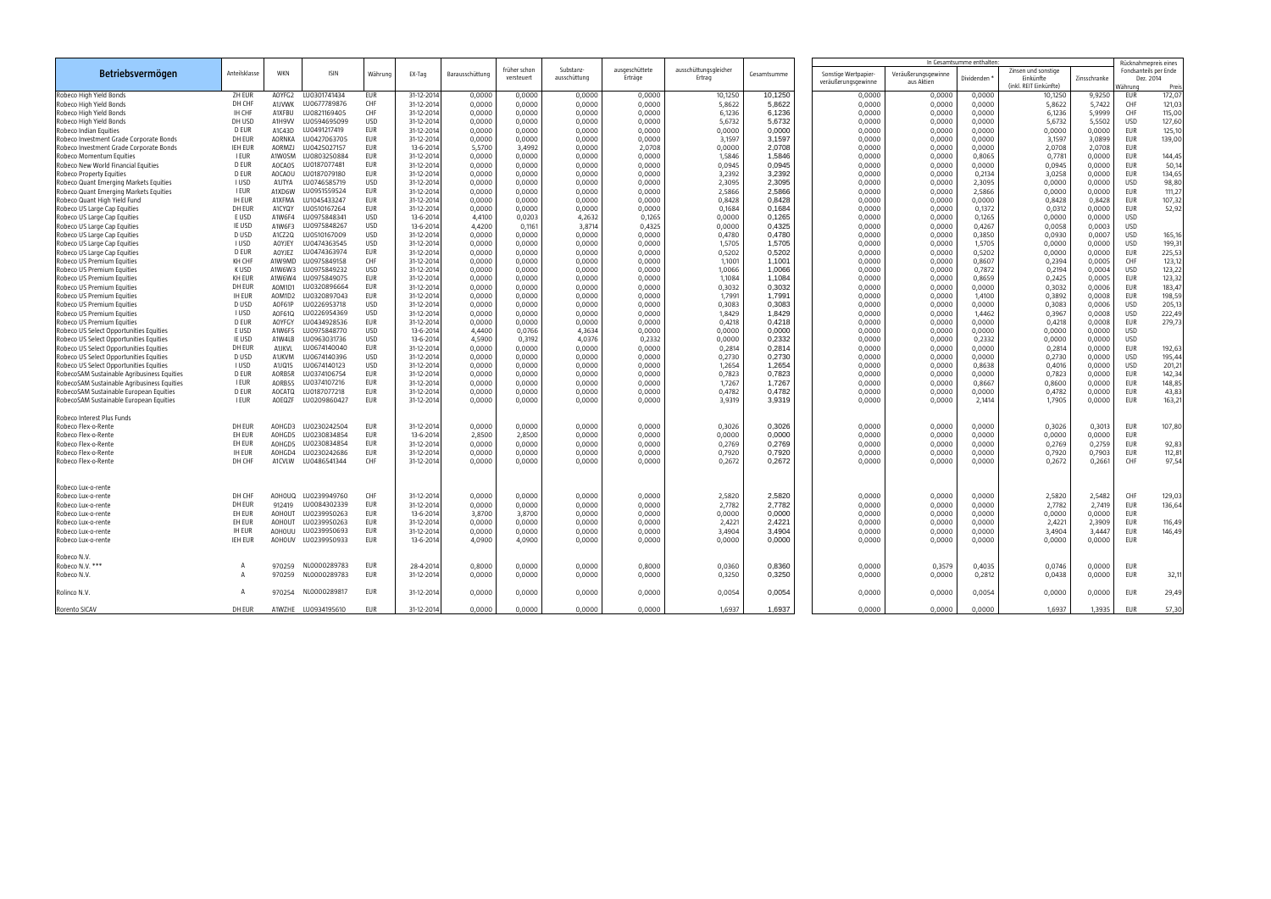|                                                              |               |               |                     |            |                          |                  |                            |                           |                          |                                |             |                                             |                                   | In Gesamtsumme enthalter |                                                            |              |                                                                       |        |
|--------------------------------------------------------------|---------------|---------------|---------------------|------------|--------------------------|------------------|----------------------------|---------------------------|--------------------------|--------------------------------|-------------|---------------------------------------------|-----------------------------------|--------------------------|------------------------------------------------------------|--------------|-----------------------------------------------------------------------|--------|
| Betriebsvermögen                                             | Anteilsklasse | WKN           | <b>ISIN</b>         | Währung    | EX-Tag                   | Barausschüttung  | früher schon<br>versteuert | Substanz-<br>ausschüttung | ausgeschüttet<br>Erträge | ausschüttungsgleiche<br>Ertrag | Gesamtsumme | Sonstige Wertpapier-<br>veräußerungsgewinne | Veräußerungsgewinne<br>aus Aktien | Dividenden '             | Zinsen und sonstiae<br>Einkünfte<br>(inkl. REIT Einkünfte) | Zinsschranke | Rücknahmepreis eines<br>Fondsanteils per Ende<br>Dez. 2014<br>Währung | Preis  |
| Robeco High Yield Bonds                                      | ZH EUR        | AOYFG2        | LU0301741434        | EUR        | 31-12-2014               | 0,0000           | 0,0000                     | 0,0000                    | 0,0000                   | 10,1250                        | 10,1250     | 0,0000                                      | 0,0000                            | 0,0000                   | 10,1250                                                    | 9,9250       | eur                                                                   | 172,07 |
| Robeco High Yield Bonds                                      | DH CHF        | A1JVWK        | LU0677789876        | CHF        | 31-12-2014               | 0,0000           | 0,0000                     | 0,0000                    | 0,0000                   | 5,8622                         | 5,8622      | 0,0000                                      | 0,0000                            | 0,0000                   | 5,8622                                                     | 5,7422       | CHF                                                                   | 121,03 |
| Robeco High Yield Bonds                                      | IH CHF        | A1XFBU        | LU0821169405        | CHF        | 31-12-2014               | 0,0000           | 0,0000                     | 0,0000                    | 0,0000                   | 6,1236                         | 6,1236      | 0,0000                                      | 0,0000                            | 0,0000                   | 6,1236                                                     | 5,9999       | CHF                                                                   | 115,00 |
| Robeco High Yield Bonds                                      | DH USD        | A1H9VV        | LU0594695099        | USD        | 31-12-2014               | 0,0000           | 0,0000                     | 0,0000                    | 0,0000                   | 5,6732                         | 5,6732      | 0,0000                                      | 0,0000                            | 0,0000                   | 5,6732                                                     | 5,5502       | <b>USD</b>                                                            | 127,60 |
| Robeco Indian Equities                                       | D EUR         | A1C43D        | LU0491217419        | EUR        | 31-12-2014               | 0,0000           | 0,0000                     | 0,0000                    | 0,0000                   | 0,0000                         | 0,0000      | 0,0000                                      | 0,0000                            | 0,0000                   | 0,0000                                                     | 0,0000       | EUR                                                                   | 125,10 |
| Robeco Investment Grade Corporate Bonds                      | DH EUR        | <b>AORNKA</b> | LU0427063705        | EUR        | 31-12-2014               | 0,0000           | 0,0000                     | 0,0000                    | 0,0000                   | 3,1597                         | 3,1597      | 0,0000                                      | 0,0000                            | 0,0000                   | 3,1597                                                     | 3,0899       | <b>EUR</b>                                                            | 139,00 |
| Robeco Investment Grade Corporate Bonds                      | IEH EUR       | AORMZJ        | LU0425027157        | <b>EUR</b> | 13-6-201                 | 5,5700           | 3,4992                     | 0,0000                    | 2,0708                   | 0,0000                         | 2,0708      | 0,0000                                      | 0,0000                            | 0,0000                   | 2,0708                                                     | 2,0708       | EUR                                                                   |        |
| Robeco Momentum Equities                                     | I EUR         | A1WOSM        | LU0803250884        | <b>EUR</b> | 31-12-2014               | 0,0000           | 0,0000                     | 0,0000                    | 0,0000                   | 1,5846                         | 1,5846      | 0,0000                                      | 0,0000                            | 0,8065                   | 0,7781                                                     | 0,0000       | <b>EUR</b>                                                            | 144,45 |
| Robeco New World Financial Equities                          | D EUR         | <b>AOCAOS</b> | LU0187077481        | EUR        | 31-12-2014               | 0,0000           | 0,0000                     | 0,0000                    | 0,0000                   | 0,0945                         | 0,0945      | 0,0000                                      | 0,0000                            | 0,0000                   | 0,0945                                                     | 0,0000       | EUR                                                                   | 50,14  |
| Robeco Property Equities                                     | D EUR         | AOCAOU        | LU0187079180        | EUR        | 31-12-2014               | 0,0000           | 0,0000                     | 0,0000                    | 0,0000                   | 3,2392                         | 3,2392      | 0,0000                                      | 0,0000                            | 0,2134                   | 3,0258                                                     | 0,0000       | <b>EUR</b>                                                            | 134,65 |
| Robeco Quant Emerging Markets Equities                       | I USD         | A1JTYA        | LU0746585719        | USD        | 31-12-2014               | 0,0000           | 0,0000                     | 0,0000                    | 0,0000                   | 2,3095                         | 2,3095      | 0,0000                                      | 0,0000                            | 2,3095                   | 0,0000                                                     | 0,0000       | <b>USD</b>                                                            | 98,80  |
| Robeco Quant Emerging Markets Equities                       | <b>I EUR</b>  | A1XD6W        | LU0951559524        | EUR        | 31-12-2014               | 0,0000           | 0,0000                     | 0,0000                    | 0,0000                   | 2,5866                         | 2,5866      | 0,0000                                      | 0,0000                            | 2,5866                   | 0,0000                                                     | 0,0000       | <b>EUR</b>                                                            | 111,27 |
| Robeco Quant High Yield Fund                                 | <b>IH EUR</b> | A1XFMA        | LU1045433247        | <b>EUR</b> | 31-12-2014               | 0,0000           | 0,0000                     | 0,0000                    | 0,0000                   | 0,8428                         | 0,8428      | 0,0000                                      | 0,0000                            | 0,0000                   | 0,8428                                                     | 0,8428       | EUR                                                                   | 107,32 |
| Robeco US Large Cap Equities                                 | DH EUR        | A1CYQY        | LU0510167264        | EUR        | 31-12-2014               | 0,0000           | 0,0000                     | 0,0000                    | 0,0000                   | 0,1684                         | 0,1684      | 0,0000                                      | 0,0000                            | 0,1372                   | 0,0312                                                     | 0,0000       | EUR                                                                   | 52,92  |
|                                                              | E USD         | A1W6F4        | LU0975848341        | USD        | 13-6-2014                | 4,4100           | 0,0203                     | 4,2632                    | 0,1265                   | 0,0000                         | 0,1265      | 0,0000                                      | 0,0000                            | 0,1265                   | 0,0000                                                     | 0,0000       | <b>USD</b>                                                            |        |
| Robeco US Large Cap Equities<br>Robeco US Large Cap Equities | IE USD        | A1W6F3        | LU0975848267        | USD        | 13-6-2014                |                  |                            | 3,8714                    | 0,4325                   |                                | 0,4325      |                                             | 0,0000                            | 0,4267                   | 0,0058                                                     | 0,0003       | <b>USD</b>                                                            |        |
|                                                              | D USD         | A1CZ2Q        | LU0510167009        | USD        |                          | 4,4200           | 0,1161                     |                           |                          | 0,0000<br>0,4780               | 0.4780      | 0,0000                                      |                                   | 0,3850                   |                                                            |              | <b>USD</b>                                                            | 165,16 |
| Robeco US Large Cap Equities                                 | I USD         | AOYJEY        | LU0474363545        | USD        | 31-12-2014               | 0,0000           | 0,0000                     | 0,0000<br>0,0000          | 0,0000<br>0,0000         | 1,5705                         | 1,5705      | 0,0000                                      | 0,0000<br>0,0000                  |                          | 0,0930<br>0,0000                                           | 0,0007       | USD                                                                   | 199,31 |
| Robeco US Large Cap Equities                                 | D EUR         |               | LU0474363974        | <b>EUR</b> | 31-12-2014<br>31-12-2014 | 0,0000<br>0,0000 | 0,0000<br>0,0000           |                           |                          |                                | 0,5202      | 0,0000                                      | 0,0000                            | 1,5705<br>0,5202         | 0,0000                                                     | 0,0000       | <b>EUR</b>                                                            |        |
| Robeco US Large Cap Equities                                 | <b>KH CHF</b> | AOYJEZ        |                     | CHF        |                          |                  |                            | 0,0000                    | 0,0000                   | 0,5202                         |             | 0,0000                                      |                                   |                          |                                                            | 0,0000       |                                                                       | 225,53 |
| Robeco US Premium Equities                                   |               | A1W9MD        | LU0975849158        |            | 31-12-2014               | 0,0000           | 0,0000                     | 0,0000                    | 0,0000                   | 1,1001                         | 1,1001      | 0,0000                                      | 0,0000                            | 0,8607                   | 0,2394                                                     | 0,0005       | CHF                                                                   | 123,12 |
| Robeco US Premium Equities                                   | K USD         | A1W6W3        | LU0975849232        | USD        | 31-12-2014               | 0,0000           | 0,0000                     | 0,0000                    | 0,0000                   | 1,0066                         | 1,0066      | 0,0000                                      | 0,0000                            | 0,7872                   | 0,2194                                                     | 0,0004       | <b>USD</b>                                                            | 123,22 |
| Robeco US Premium Equities                                   | KH EUR        | A1W6W4        | LU0975849075        | <b>EUR</b> | 31-12-2014               | 0,0000           | 0,0000                     | 0,0000                    | 0,0000                   | 1,1084                         | 1,1084      | 0,0000                                      | 0,0000                            | 0,8659                   | 0,2425                                                     | 0,0005       | <b>EUR</b>                                                            | 123,32 |
| Robeco US Premium Equities                                   | DH EUR        | AOM1D1        | LU0320896664        | EUR        | 31-12-2014               | 0,0000           | 0,0000                     | 0,0000                    | 0,0000                   | 0,3032                         | 0,3032      | 0,0000                                      | 0,0000                            | 0,0000                   | 0,3032                                                     | 0,0006       | EUR                                                                   | 183,47 |
| Robeco US Premium Equities                                   | <b>IH EUR</b> | AOM1D2        | LU0320897043        | EUR        | 31-12-2014               | 0,0000           | 0,0000                     | 0,0000                    | 0,0000                   | 1,7991                         | 1,7991      | 0,0000                                      | 0,0000                            | 1,4100                   | 0,3892                                                     | 0,0008       | <b>EUR</b>                                                            | 198,59 |
| Robeco US Premium Equities                                   | D USD         | AOF61P        | LU0226953718        | USD        | 31-12-2014               | 0,0000           | 0,0000                     | 0,0000                    | 0,0000                   | 0,3083                         | 0,3083      | 0,0000                                      | 0,0000                            | 0,0000                   | 0,3083                                                     | 0,0006       | USD                                                                   | 205,13 |
| Robeco US Premium Equities                                   | <b>IUSD</b>   | A0F61Q        | LU0226954369        | USD        | 31-12-2014               | 0,0000           | 0,0000                     | 0,0000                    | 0.0000                   | 1,8429                         | 1,8429      | 0,0000                                      | 0,0000                            | 1,4462                   | 0,3967                                                     | 0,0008       | <b>USD</b>                                                            | 222,49 |
| Robeco US Premium Equities                                   | D EUR         | <b>AOYFGY</b> | LU0434928536        | EUR        | 31-12-2014               | 0,0000           | 0,0000                     | 0,0000                    | 0,0000                   | 0,4218                         | 0,4218      | 0,0000                                      | 0,0000                            | 0,0000                   | 0,4218                                                     | 0,0008       | <b>EUR</b>                                                            | 279,73 |
| Robeco US Select Opportunities Equities                      | E USD         | A1W6F5        | LU0975848770        | USD        | 13-6-2014                | 4,4400           | 0,0766                     | 4,3634                    | 0,0000                   | 0,0000                         | 0,0000      | 0,0000                                      | 0,0000                            | 0,0000                   | 0,0000                                                     | 0,0000       | <b>USD</b>                                                            |        |
| Robeco US Select Opportunities Equities                      | IE USD        | A1W4LB        | LU0963031736        | USD        | 13-6-2014                | 4,5900           | 0,3192                     | 4,0376                    | 0,2332                   | 0,0000                         | 0,2332      | 0,0000                                      | 0,0000                            | 0,2332                   | 0,0000                                                     | 0,0000       | <b>USD</b>                                                            |        |
| Robeco US Select Opportunities Equities                      | DH EUR        | <b>A1JKVL</b> | LU0674140040        | EUR        | 31-12-2014               | 0,0000           | 0,0000                     | 0,0000                    | 0,0000                   | 0,2814                         | 0,2814      | 0,0000                                      | 0,0000                            | 0,0000                   | 0,2814                                                     | 0,0000       | <b>EUR</b>                                                            | 192,63 |
| Robeco US Select Opportunities Equities                      | D USD         | A1JKVM        | LU0674140396        | USD        | 31-12-2014               | 0,0000           | 0,0000                     | 0,0000                    | 0,0000                   | 0,2730                         | 0,2730      | 0,0000                                      | 0,0000                            | 0,0000                   | 0,2730                                                     | 0,0000       | <b>USD</b>                                                            | 195,44 |
| Robeco US Select Opportunities Equities                      | I USD         | A1JQ15        | LU0674140123        | USD        | 31-12-2014               | 0,0000           | 0,0000                     | 0,0000                    | 0,0000                   | 1,2654                         | 1,2654      | 0,0000                                      | 0,0000                            | 0,8638                   | 0,4016                                                     | 0,0000       | <b>USD</b>                                                            | 201,21 |
| RobecoSAM Sustainable Agribusiness Equities                  | D EUR         | AORB5R        | LU0374106754        | EUR        | 31-12-2014               | 0,0000           | 0,0000                     | 0,0000                    | 0,0000                   | 0,7823                         | 0,7823      | 0,0000                                      | 0,0000                            | 0,0000                   | 0,7823                                                     | 0,0000       | <b>EUR</b>                                                            | 142,34 |
| RobecoSAM Sustainable Agribusiness Equities                  | <b>I EUR</b>  | AORB5S        | LU0374107216        | <b>EUR</b> | 31-12-2014               | 0,0000           | 0,0000                     | 0,0000                    | 0,0000                   | 1,7267                         | 1,7267      | 0,0000                                      | 0,0000                            | 0,8667                   | 0,8600                                                     | 0,0000       | <b>EUR</b>                                                            | 148,85 |
| RobecoSAM Sustainable European Equities                      | D EUR         | AOCATQ        | LU0187077218        | <b>EUR</b> | 31-12-2014               | 0,0000           | 0,0000                     | 0,0000                    | 0,0000                   | 0,4782                         | 0,4782      | 0,0000                                      | 0,0000                            | 0,0000                   | 0,4782                                                     | 0,0000       | <b>EUR</b>                                                            | 43,83  |
| RobecoSAM Sustainable European Equities                      | I EUR         | AOEQZF        | LU0209860427        | <b>EUR</b> | 31-12-2014               | 0,0000           | 0,0000                     | 0,0000                    | 0,0000                   | 3,9319                         | 3,9319      | 0,0000                                      | 0,0000                            | 2,1414                   | 1,7905                                                     | 0,0000       | <b>EUR</b>                                                            | 163,21 |
| Robeco Interest Plus Funds                                   |               |               |                     |            |                          |                  |                            |                           |                          |                                |             |                                             |                                   |                          |                                                            |              |                                                                       |        |
| Robeco Flex-o-Rente                                          | DH EUR        | AOHGD3        | LU0230242504        | EUR        | 31-12-2014               | 0,0000           | 0,0000                     | 0,0000                    | 0,0000                   | 0,3026                         | 0,3026      | 0,0000                                      | 0,0000                            | 0,0000                   | 0,3026                                                     | 0,3013       | EUR                                                                   | 107,80 |
| Robeco Flex-o-Rente                                          | EH EUR        | AOHGD5        | LU0230834854        | <b>EUR</b> | 13-6-2014                | 2,8500           | 2,8500                     | 0,0000                    | 0,0000                   | 0,0000                         | 0,0000      | 0,0000                                      | 0,0000                            | 0,0000                   | 0,0000                                                     | 0,0000       | <b>EUR</b>                                                            |        |
| Robeco Flex-o-Rente                                          | EH EUR        | AOHGD5        | LU0230834854        | EUR        | 31-12-2014               | 0,0000           | 0,0000                     | 0,0000                    | 0,0000                   | 0,2769                         | 0,2769      | 0,0000                                      | 0,0000                            | 0,0000                   | 0,2769                                                     | 0,2759       | EUR                                                                   | 92,83  |
| Robeco Flex-o-Rente                                          | <b>IH EUR</b> | AOHGD4        | LU0230242686        | <b>EUR</b> | 31-12-2014               | 0,0000           | 0,0000                     | 0,0000                    | 0,0000                   | 0,7920                         | 0,7920      | 0,0000                                      | 0,0000                            | 0,0000                   | 0,7920                                                     | 0,7903       | <b>EUR</b>                                                            | 112,81 |
| Robeco Flex-o-Rente                                          | DH CHF        | A1CVLW        | LU0486541344        | CHF        | 31-12-2014               | 0,0000           | 0,0000                     | 0,0000                    | 0,0000                   | 0,2672                         | 0,2672      | 0,0000                                      | 0,0000                            | 0,0000                   | 0,2672                                                     | 0,2661       | CHF                                                                   | 97,54  |
|                                                              |               |               |                     |            |                          |                  |                            |                           |                          |                                |             |                                             |                                   |                          |                                                            |              |                                                                       |        |
| Robeco Lux-o-rente                                           |               |               |                     |            |                          |                  |                            |                           |                          |                                |             |                                             |                                   |                          |                                                            |              |                                                                       |        |
| Robeco Lux-o-rente                                           | DH CHF        | QUOHOD        | LU0239949760        | <b>CHF</b> | 31-12-2014               | 0,0000           | 0,0000                     | 0,0000                    | 0,0000                   | 2,5820                         | 2,5820      | 0,0000                                      | 0,0000                            | 0,0000                   | 2,5820                                                     | 2,5482       | CHF                                                                   | 129,03 |
| Robeco Lux-o-rente                                           | DH EUR        | 912419        | LU0084302339        | EUR        | 31-12-2014               | 0,0000           | 0,0000                     | 0,0000                    | 0,0000                   | 2,7782                         | 2,7782      | 0,0000                                      | 0,0000                            | 0,0000                   | 2,7782                                                     | 2,7419       | EUR                                                                   | 136,64 |
| Robeco Lux-o-rente                                           | EH EUR        | <b>AOHOUT</b> | LU0239950263        | <b>EUR</b> | 13-6-2014                | 3,8700           | 3,8700                     | 0,0000                    | 0,0000                   | 0,0000                         | 0,0000      | 0,0000                                      | 0,0000                            | 0,0000                   | 0,0000                                                     | 0,0000       | <b>EUR</b>                                                            |        |
| Robeco Lux-o-rente                                           | EH EUR        | <b>AOHOUT</b> | LU0239950263        | EUR        | 31-12-2014               | 0,0000           | 0,0000                     | 0,0000                    | 0,0000                   | 2,4221                         | 2,4221      | 0,0000                                      | 0,0000                            | 0,0000                   | 2,4221                                                     | 2,3909       | <b>EUR</b>                                                            | 116,49 |
| Robeco Lux-o-rente                                           | ih Eur        |               | AOHOUU LU0239950693 | EUR        | 31-12-2014               | 0,0000           | 0,0000                     | 0,0000                    | 0,0000                   | 3,4904                         | 3,4904      | 0,0000                                      | $0,0000$                          | 0,0000                   | 3,4904                                                     | 3,4447 EUR   |                                                                       | 146,49 |
| Robeco Lux-o-rente                                           | IEH EUR       |               | A0H0UV LU0239950933 | eur        | 13-6-2014                | 4,0900           | 4,0900                     | 0,0000                    | 0,0000                   | 0,0000                         | 0,0000      | 0,0000                                      | 0,0000                            | 0,0000                   | 0,0000                                                     | 0,0000       | EUR                                                                   |        |
| Robeco N.V.                                                  |               |               |                     |            |                          |                  |                            |                           |                          |                                |             |                                             |                                   |                          |                                                            |              |                                                                       |        |
| Robeco N.V. ***                                              |               |               | 970259 NL0000289783 | eur        | 28-4-2014                | 0,8000           | 0,0000                     | 0,0000                    | 0,8000                   | 0,0360                         | 0,8360      | 0,0000                                      | 0,3579                            | 0,4035                   | 0,0746                                                     | 0,0000       | EUR                                                                   |        |
| Robeco N.V.                                                  | A             | 970259        | NL0000289783        | eur        | 31-12-2014               | 0,0000           | 0,0000                     | 0,0000                    | 0,0000                   | 0,3250                         | 0,3250      | 0,0000                                      | 0,0000                            | 0,2812                   | 0,0438                                                     | 0,0000       | EUR                                                                   | 32,11  |
| Rolinco N.V.                                                 |               |               | 970254 NL0000289817 | EUR        | 31-12-2014               | 0,0000           | 0,0000                     | 0,0000                    | 0,0000                   | 0,0054                         | 0,0054      | 0,0000                                      | 0,0000                            | 0,0054                   | 0,0000                                                     | 0,0000       | EUR                                                                   | 29,49  |
| Rorento SICAV                                                | DH EUR        |               | A1WZHE LU0934195610 | eur        | 31-12-2014               | 0,0000           | 0,0000                     | 0,0000                    | 0,0000                   | 1,6937                         | 1,6937      | 0,0000                                      | 0,0000                            | 0,0000                   | 1,6937                                                     | 1,3935       | eur                                                                   | 57,30  |
|                                                              |               |               |                     |            |                          |                  |                            |                           |                          |                                |             |                                             |                                   |                          |                                                            |              |                                                                       |        |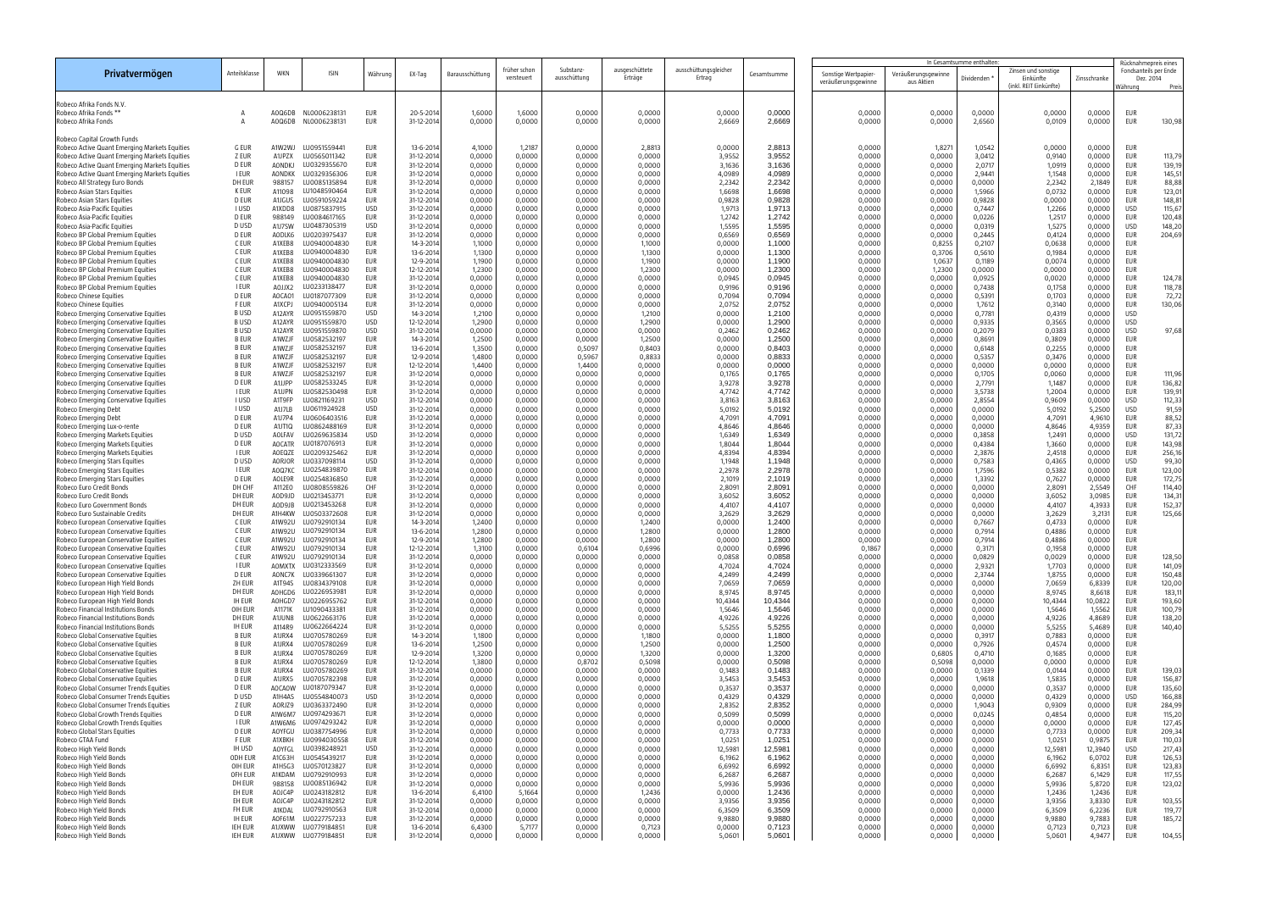|                                                                                                |                              |                  |                                     |                          |                          |                  |                            |                           |                           |                                 |                   | In Gesamtsumme enthalten                    |                                   |                  |                                                            | Rücknahmepreis eines |                                               |                  |
|------------------------------------------------------------------------------------------------|------------------------------|------------------|-------------------------------------|--------------------------|--------------------------|------------------|----------------------------|---------------------------|---------------------------|---------------------------------|-------------------|---------------------------------------------|-----------------------------------|------------------|------------------------------------------------------------|----------------------|-----------------------------------------------|------------------|
| Privatvermögen                                                                                 | Anteilsklasse                | WKN              | <b>ISIN</b>                         | Währung                  | EX-Tag                   | Barausschüttung  | früher schon<br>versteuert | Substanz-<br>ausschüttung | ausgeschüttete<br>Erträge | ausschüttungsgleicher<br>Ertrag | Gesamtsumme       | Sonstige Wertpapier-<br>veräußerungsgewinne | Veräußerungsgewinne<br>aus Aktien | Dividenden       | Zinsen und sonstige<br>Einkünfte<br>(inkl. REIT Einkünfte) | Zinsschranke         | Fondsanteils per Ende<br>Dez. 2014<br>Nähruna | Preis            |
| Robeco Afrika Fonds N.V.                                                                       |                              |                  |                                     |                          |                          |                  |                            |                           |                           |                                 |                   |                                             |                                   |                  |                                                            |                      |                                               |                  |
| Robeco Afrika Fonds *                                                                          |                              | AOQ6DB           | NL0006238131                        | <b>EUR</b>               | 20-5-201                 | 1,6000           | 1,6000                     | 0,0000                    | 0,0000                    | 0,0000                          | 0,0000            | 0,0000                                      | 0,0000                            | 0,0000           | 0,0000                                                     | 0,0000               | <b>EUR</b>                                    |                  |
| Robeco Afrika Fonds                                                                            | A                            | AOQ6DB           | NL0006238131                        | <b>EUR</b>               | 31-12-2014               | 0,0000           | 0,0000                     | 0,0000                    | 0,0000                    | 2,6669                          | 2,6669            | 0,0000                                      | 0,0000                            | 2,6560           | 0,0109                                                     | 0,0000               | <b>EUR</b>                                    | 130,98           |
| Robeco Capital Growth Funds                                                                    |                              |                  |                                     |                          |                          |                  |                            |                           |                           |                                 |                   |                                             |                                   |                  |                                                            |                      |                                               |                  |
| Robeco Active Quant Emerging Markets Equities                                                  | <b>G EUR</b>                 | A1W2WJ           | LU0951559441                        | <b>EUR</b>               | 13-6-201                 | 4,1000           | 1,2187                     | 0,0000                    | 2,8813                    | 0,0000                          | 2,8813            | 0,0000                                      | 1,827                             | 1,0542           | 0,0000                                                     | 0,0000               | <b>EUR</b>                                    |                  |
| Robeco Active Quant Emerging Markets Equities<br>Robeco Active Quant Emerging Markets Equities | Z EUR<br>D EUR               | A1JPZX<br>AONDKJ | LU0565011342<br>LU0329355670        | <b>EUR</b><br>EUR        | 31-12-2014<br>31-12-2014 | 0,0000<br>0,0000 | 0,0000<br>0,0000           | 0,0000<br>0,0000          | 0,0000<br>0,0000          | 3,9552<br>3,1636                | 3,9552<br>3,1636  | 0,0000<br>0,0000                            | 0,0000<br>0,0000                  | 3,0412<br>2,0717 | 0,9140<br>1,0919                                           | 0,0000<br>0,0000     | <b>EUR</b><br><b>EUR</b>                      | 113,79<br>139,19 |
| Robeco Active Quant Emerging Markets Equities                                                  | <b>I EUR</b>                 | <b>AONDKK</b>    | LU0329356306                        | EUR                      | 31-12-2014               | 0,0000           | 0,0000                     | 0,0000                    | 0,0000                    | 4,0989                          | 4,0989            | 0,0000                                      | 0,0000                            | 2,9441           | 1,1548                                                     | 0,0000               | <b>EUR</b>                                    | 145,51           |
| Robeco All Strategy Euro Bonds                                                                 | DH EUR                       | 988157           | LU0085135894                        | <b>EUR</b>               | 31-12-2014               | 0,0000           | 0,0000                     | 0,0000                    | 0,0000                    | 2,2342                          | 2,2342            | 0,0000                                      | 0,0000                            | 0,0000           | 2,2342                                                     | 2,1849               | <b>EUR</b>                                    | 88,88            |
| Robeco Asian Stars Equities<br>Robeco Asian Stars Equities                                     | <b>K EUR</b><br><b>D EUR</b> | A11098<br>A1JGUS | LU1048590464<br>LU0591059224        | EUR<br>EUR               | 31-12-2014<br>31-12-2014 | 0,0000<br>0,0000 | 0,0000<br>0,0000           | 0,0000<br>0,0000          | 0,0000<br>0,0000          | 1,6698<br>0,9828                | 1,6698<br>0,9828  | 0,0000<br>0,0000                            | 0,0000<br>0,0000                  | 1,5966<br>0,9828 | 0,0732<br>0,0000                                           | 0,0000<br>0,0000     | <b>EUR</b><br><b>EUR</b>                      | 123,01<br>148,81 |
| Robeco Asia-Pacific Equities                                                                   | <b>IUSD</b>                  | A1XDD8           | LU0875837915                        | <b>USD</b>               | 31-12-2014               | 0,0000           | 0,0000                     | 0,0000                    | 0,0000                    | 1,9713                          | 1,9713            | 0,0000                                      | 0,0000                            | 0,7447           | 1,2266                                                     | 0,0000               | <b>USD</b>                                    | 115,67           |
| Robeco Asia-Pacific Equities<br>Robeco Asia-Pacific Equities                                   | <b>D EUR</b><br>D USD        | 988149<br>A1J7SW | LU0084617165<br>LU0487305319        | <b>EUR</b><br><b>USD</b> | 31-12-2014<br>31-12-2014 | 0,0000           | 0,0000<br>0,0000           | 0,0000<br>0,0000          | 0,0000                    | 1,2742<br>1,5595                | 1,2742<br>1,5595  | 0,0000<br>0,0000                            | 0,0000                            | 0,0226<br>0,0319 | 1,2517<br>1,5275                                           | 0,0000<br>0,0000     | <b>EUR</b><br><b>USD</b>                      | 120,48           |
| Robeco BP Global Premium Equities                                                              | <b>D EUR</b>                 | AODLK6           | LU0203975437                        | EUR                      | 31-12-2014               | 0,0000<br>0,0000 | 0,0000                     | 0,0000                    | 0,0000<br>0,0000          | 0,6569                          | 0,6569            | 0,0000                                      | 0,0000<br>0,0000                  | 0,2445           | 0,4124                                                     | 0,0000               | <b>EUR</b>                                    | 148,20<br>204,69 |
| Robeco BP Global Premium Equities                                                              | C EUR                        | A1XEB8           | LU0940004830                        | <b>EUR</b>               | 14-3-2014                | 1,1000           | 0,0000                     | 0,0000                    | 1,1000                    | 0,0000                          | 1,1000            | 0,0000                                      | 0,8255                            | 0,2107           | 0,0638                                                     | 0,0000               | <b>EUR</b>                                    |                  |
| Robeco BP Global Premium Equities<br>Robeco BP Global Premium Equities                         | C EUR<br>C EUR               | A1XEB8<br>A1XEB8 | LU0940004830<br>LU0940004830        | <b>EUR</b><br>EUR        | 13-6-2014<br>12-9-2014   | 1,1300<br>1,1900 | 0,0000<br>0,0000           | 0,0000<br>0,0000          | 1,1300<br>1,1900          | 0,0000<br>0,0000                | 1,1300<br>1,1900  | 0,0000<br>0,0000                            | 0,3706<br>1,0637                  | 0,5610<br>0,1189 | 0,1984<br>0,0074                                           | 0,0000<br>0,0000     | <b>EUR</b><br><b>EUR</b>                      |                  |
| Robeco BP Global Premium Equities                                                              | C EUR                        | A1XEB8           | LU0940004830                        | <b>EUR</b>               | 12-12-2014               | 1,2300           | 0,0000                     | 0,0000                    | 1,2300                    | 0,0000                          | 1,2300            | 0,0000                                      | 1,2300                            | 0,0000           | 0,0000                                                     | 0,0000               | <b>EUR</b>                                    |                  |
| Robeco BP Global Premium Equities                                                              | C EUR                        | A1XEB8           | LU0940004830                        | <b>EUR</b>               | 31-12-2014               | 0,0000           | 0,0000                     | 0,0000                    | 0,0000                    | 0,0945                          | 0,0945            | 0,0000                                      | 0,0000                            | 0,0925           | 0,0020                                                     | 0,0000               | <b>EUR</b>                                    | 124,78           |
| Robeco BP Global Premium Equities<br>Robeco Chinese Equities                                   | <b>I EUR</b><br><b>D EUR</b> | AOJJX2<br>AOCA01 | LU0233138477<br>LU0187077309        | <b>EUR</b><br>EUR        | 31-12-2014<br>31-12-2014 | 0,0000<br>0,0000 | 0,0000<br>0,0000           | 0,0000<br>0,0000          | 0,0000<br>0,0000          | 0,9196<br>0,7094                | 0,9196<br>0,7094  | 0,0000<br>0,0000                            | 0,0000<br>0,0000                  | 0,7438<br>0,5391 | 0,1758<br>0,1703                                           | 0,0000<br>0,0000     | <b>EUR</b><br><b>EUR</b>                      | 118,78<br>72,72  |
| Robeco Chinese Equities                                                                        | <b>FEUR</b>                  | A1XCPJ           | LU0940005134                        | EUR                      | 31-12-2014               | 0,0000           | 0,0000                     | 0,0000                    | 0,0000                    | 2,0752                          | 2,0752            | 0,0000                                      | 0,0000                            | 1,7612           | 0,3140                                                     | 0,0000               | <b>EUR</b>                                    | 130,06           |
| Robeco Emerging Conservative Equities                                                          | <b>BUSD</b>                  | A12AYR           | LU0951559870                        | <b>USD</b>               | 14-3-2014                | 1,2100           | 0,0000                     | 0,0000                    | 1,2100                    | 0,0000                          | 1,2100            | 0,0000                                      | 0,0000                            | 0,7781           | 0,4319                                                     | 0,0000               | <b>USD</b><br><b>USD</b>                      |                  |
| Robeco Emerging Conservative Equities<br>Robeco Emerging Conservative Equities                 | <b>BUSD</b><br><b>BUSD</b>   | A12AYR<br>A12AYR | LU0951559870<br>LU0951559870        | <b>USD</b><br><b>USD</b> | 12-12-2014<br>31-12-2014 | 1,2900<br>0,0000 | 0,0000<br>0,0000           | 0,0000<br>0,0000          | 1,2900<br>0,0000          | 0,0000<br>0,2462                | 1,2900<br>0,2462  | 0,0000<br>0,0000                            | 0,0000<br>0,0000                  | 0,9335<br>0,2079 | 0,3565<br>0,0383                                           | 0,0000<br>0,0000     | <b>USD</b>                                    | 97,68            |
| Robeco Emerging Conservative Equities                                                          | <b>B EUR</b>                 | A1WZJF           | LU0582532197                        | <b>EUR</b>               | 14-3-2014                | 1,2500           | 0,0000                     | 0,0000                    | 1,2500                    | 0,0000                          | 1,2500            | 0,0000                                      | 0,0000                            | 0,8691           | 0,3809                                                     | 0,0000               | <b>EUR</b>                                    |                  |
| Robeco Emerging Conservative Equities<br>Robeco Emerging Conservative Equities                 | <b>B EUR</b><br><b>B EUR</b> | A1WZJF<br>A1WZJF | LU0582532197<br>LU0582532197        | <b>EUR</b><br>EUR        | 13-6-2014<br>12-9-2014   | 1,3500<br>1,4800 | 0,0000<br>0,0000           | 0,5097<br>0,5967          | 0,8403<br>0,8833          | 0,0000<br>0,0000                | 0,8403<br>0,8833  | 0,0000<br>0,0000                            | 0,0000<br>0,0000                  | 0,6148<br>0,5357 | 0,2255<br>0,3476                                           | 0,0000<br>0,0000     | <b>EUR</b><br><b>EUR</b>                      |                  |
| Robeco Emerging Conservative Equities                                                          | <b>B EUR</b>                 | A1WZJF           | LU0582532197                        | <b>EUR</b>               | 12-12-2014               | 1,4400           | 0,0000                     | 1,4400                    | 0,0000                    | 0,0000                          | 0,0000            | 0,0000                                      | 0,0000                            | 0,0000           | 0,0000                                                     | 0,0000               | <b>EUR</b>                                    |                  |
| Robeco Emerging Conservative Equities                                                          | <b>B EUR</b>                 | A1WZJF           | LU0582532197                        | <b>EUR</b>               | 31-12-2014               | 0,0000           | 0,0000                     | 0,0000                    | 0,0000                    | 0,1765                          | 0,1765            | 0,0000                                      | 0,0000                            | 0,1705           | 0,0060                                                     | 0,0000               | <b>EUR</b>                                    | 111,96           |
| Robeco Emerging Conservative Equities<br>Robeco Emerging Conservative Equities                 | <b>D EUR</b><br><b>I EUR</b> | A1JJPP<br>A1JJPN | LU0582533245<br>LU0582530498        | EUR<br>EUR               | 31-12-2014<br>31-12-2014 | 0,0000<br>0,0000 | 0,0000<br>0,0000           | 0,0000<br>0,0000          | 0,0000<br>0,0000          | 3,9278<br>4,7742                | 3,9278<br>4,7742  | 0,0000<br>0,0000                            | 0,0000<br>0,0000                  | 2,7791<br>3,5738 | 1,1487<br>1,2004                                           | 0,0000<br>0,0000     | <b>EUR</b><br><b>EUR</b>                      | 136,82<br>139,91 |
| Robeco Emerging Conservative Equities                                                          | <b>IUSD</b>                  | A1T9FP           | LU0821169231                        | <b>USD</b>               | 31-12-2014               | 0,0000           | 0,0000                     | 0,0000                    | 0,0000                    | 3,8163                          | 3,8163            | 0,0000                                      | 0,0000                            | 2,8554           | 0,9609                                                     | 0,0000               | <b>USD</b>                                    | 112,33           |
| Robeco Emerging Debt                                                                           | <b>IUSD</b>                  | A1J7LB           | LU0611924928                        | <b>USD</b>               | 31-12-2014               | 0,0000           | 0,0000                     | 0,0000                    | 0,0000                    | 5,0192                          | 5,0192            | 0,0000                                      | 0,0000                            | 0,0000           | 5,0192                                                     | 5,2500               | <b>USD</b>                                    | 91,59            |
| Robeco Emerging Debt<br>Robeco Emerging Lux-o-rente                                            | <b>D EUR</b><br><b>D EUR</b> | A1J7P4<br>A1JT1Q | LU0606403516<br>LU0862488169        | EUR<br>EUR               | 31-12-2014<br>31-12-2014 | 0,0000<br>0,0000 | 0,0000<br>0,0000           | 0,0000<br>0,0000          | 0,0000<br>0,0000          | 4,7091<br>4,8646                | 4,7091<br>4,8646  | 0,0000<br>0,0000                            | 0,0000<br>0,0000                  | 0,0000<br>0,0000 | 4,7091<br>4,8646                                           | 4,9610<br>4,9359     | <b>EUR</b><br><b>EUR</b>                      | 88,52<br>87,33   |
| Robeco Emerging Markets Equities                                                               | D USD                        | AOLFAV           | LU0269635834                        | <b>USD</b>               | 31-12-2014               | 0,0000           | 0,0000                     | 0,0000                    | 0,0000                    | 1,6349                          | 1,6349            | 0,0000                                      | 0,0000                            | 0,3858           | 1,2491                                                     | 0,0000               | <b>USD</b>                                    | 131,72           |
| Robeco Emerging Markets Equities                                                               | <b>D EUR</b>                 | <b>AOCATR</b>    | LU0187076913                        | EUR                      | 31-12-2014               | 0,0000           | 0,0000                     | 0,0000                    | 0,0000                    | 1,8044                          | 1,8044            | 0,0000                                      | 0,0000                            | 0,4384           | 1,3660                                                     | 0,0000               | <b>EUR</b>                                    | 143,98           |
| Robeco Emerging Markets Equities<br>Robeco Emerging Stars Equities                             | <b>I EUR</b><br>D USD        | AOEQZE<br>AORJOR | LU0209325462<br>LU0337098114        | <b>EUR</b><br><b>USD</b> | 31-12-2014<br>31-12-2014 | 0,0000<br>0,0000 | 0,0000<br>0,0000           | 0,0000<br>0,0000          | 0,0000<br>0,0000          | 4,8394<br>1,1948                | 4,8394<br>1,1948  | 0,0000<br>0,0000                            | 0,0000<br>0,0000                  | 2,3876<br>0,7583 | 2,4518<br>0,4365                                           | 0,0000<br>0,0000     | <b>EUR</b><br><b>USD</b>                      | 256,16<br>99,30  |
| Robeco Emerging Stars Equities                                                                 | <b>I EUR</b>                 | AOQ7KC           | LU0254839870                        | <b>EUR</b>               | 31-12-2014               | 0,0000           | 0,0000                     | 0,0000                    | 0,0000                    | 2,2978                          | 2,2978            | 0,0000                                      | 0,0000                            | 1,7596           | 0,5382                                                     | 0,0000               | <b>EUR</b>                                    | 123,00           |
| Robeco Emerging Stars Equities<br>Robeco Euro Credit Bonds                                     | <b>D EUR</b><br>DH CHF       | AOLE9R<br>A112E0 | LU0254836850<br>LU0808559826        | <b>EUR</b><br>CHF        | 31-12-2014<br>31-12-2014 | 0,0000<br>0,0000 | 0,0000<br>0,0000           | 0,0000<br>0,0000          | 0,0000<br>0,0000          | 2,1019<br>2,8091                | 2,1019<br>2,8091  | 0,0000<br>0,0000                            | 0,0000<br>0,0000                  | 1,3392<br>0,0000 | 0,7627<br>2,8091                                           | 0,0000<br>2,5549     | <b>EUR</b><br>CHF                             | 172,75<br>114,40 |
| Robeco Euro Credit Bonds                                                                       | DH EUR                       | AOD9JD           | LU0213453771                        | <b>EUR</b>               | 31-12-2014               | 0,0000           | 0,0000                     | 0,0000                    | 0,0000                    | 3,6052                          | 3,6052            | 0,0000                                      | 0,0000                            | 0,0000           | 3,6052                                                     | 3,0985               | <b>EUR</b>                                    | 134,31           |
| Robeco Euro Government Bonds                                                                   | DH EUR                       | AOD9JB           | LU0213453268                        | <b>EUR</b>               | 31-12-2014               | 0,0000           | 0,0000                     | 0,0000                    | 0,0000                    | 4,4107                          | 4,4107            | 0,0000                                      | 0,0000                            | 0,0000           | 4,4107                                                     | 4,3933               | <b>EUR</b>                                    | 152,37           |
| Robeco Euro Sustainable Credits<br>Robeco European Conservative Equities                       | DH EUR<br>C EUR              | A1H4KW<br>A1W92U | LU0503372608<br>LU0792910134        | EUR<br><b>EUR</b>        | 31-12-2014<br>14-3-2014  | 0,0000<br>1,2400 | 0,0000<br>0,0000           | 0,0000<br>0,0000          | 0,0000<br>1,2400          | 3,2629<br>0,0000                | 3,2629<br>1,2400  | 0,0000<br>0,0000                            | 0,0000<br>0,0000                  | 0,0000<br>0,7667 | 3,2629<br>0,4733                                           | 3,2131<br>0,0000     | <b>EUR</b><br><b>EUR</b>                      | 125,66           |
| Robeco European Conservative Equities                                                          | C EUR                        |                  | A1W92U LU0792910134                 | <b>EUR</b>               | 13-6-2014                | 1,2800           | 0,0000                     | 0,0000                    | 1,2800                    | 0,0000                          | 1.2800            | 0.0000                                      | 0,0000                            | 0.7914           | 0,4886                                                     | 0,0000               | <b>EUR</b>                                    |                  |
| Robeco European Conservative Equities                                                          | C EUR                        | A1W92U           | LU0792910134                        | EUR                      | 12-9-2014                | 1,2800           | 0,0000                     | 0,0000                    | 1,2800                    | 0,0000                          | 1,2800            | 0,0000                                      | 0,0000                            | 0,7914           | 0,4886                                                     | 0,0000               | EUR                                           |                  |
| Robeco European Conservative Equities<br>Robeco European Conservative Equities                 | C EUR<br>C EUR               | A1W92U           | LU0792910134<br>A1W92U LU0792910134 | EUR<br>EUR               | 12-12-2014<br>31-12-2014 | 1,3100<br>0,0000 | 0,0000<br>0,0000           | 0,6104<br>0,0000          | 0,6996<br>0,0000          | 0,0000<br>0,0858                | 0,6996<br>0,0858  | 0,1867<br>0,0000                            | 0,0000<br>0,0000                  | 0,3171<br>0,0829 | 0,1958<br>0,0029                                           | 0,0000<br>0,0000     | <b>EUR</b><br><b>EUR</b>                      | 128,50           |
| Robeco European Conservative Equities                                                          | <b>I EUR</b>                 | AOMXTX           | LU0312333569                        | EUR                      | 31-12-2014               | 0,0000           | 0,0000                     | 0,0000                    | 0,0000                    | 4,7024                          | 4,7024            | 0,0000                                      | 0,0000                            | 2,9321           | 1,7703                                                     | 0,0000               | <b>EUR</b>                                    | 141,09           |
| Robeco European Conservative Equities<br>Robeco European High Yield Bonds                      | <b>D EUR</b><br>ZH EUR       | AONC7K<br>A1T94S | LU0339661307<br>LU0834379108        | EUR<br>EUR               | 31-12-2014<br>31-12-2014 | 0,0000<br>0,0000 | 0,0000<br>0,0000           | 0,0000<br>0,0000          | 0,0000<br>0,0000          | 4,2499<br>7,0659                | 4,2499<br>7,0659  | 0,0000<br>0,0000                            | 0,0000<br>0,0000                  | 2,3744<br>0,0000 | 1,8755<br>7,0659                                           | 0,0000<br>6,8339     | <b>EUR</b><br><b>EUR</b>                      | 150,48<br>120,00 |
| Robeco European High Yield Bonds                                                               | DH EUR                       | AOHGD6           | LU0226953981                        | EUR                      | 31-12-2014               | 0,0000           | 0,0000                     | 0,0000                    | 0,0000                    | 8,9745                          | 8,9745            | 0,0000                                      | 0,0000                            | 0,0000           | 8,9745                                                     | 8,6618               | <b>EUR</b>                                    | 183,11           |
| Robeco European High Yield Bonds                                                               | IH EUR                       | AOHGD7           | LU0226955762                        | EUR                      | 31-12-2014               | 0,0000           | 0,0000                     | 0,0000                    | 0,0000                    | 10,4344                         | 10,4344           | 0,0000                                      | 0,0000                            | 0,0000           | 10,4344                                                    | 10,0822              | <b>EUR</b>                                    | 193,60           |
| Robeco Financial Institutions Bonds<br>Robeco Financial Institutions Bonds                     | OIH EUR<br>DH EUR            | A1171K<br>A1JUN8 | LU1090433381<br>LU0622663176        | EUR<br>EUR               | 31-12-2014<br>31-12-2014 | 0,0000<br>0,0000 | 0,0000<br>0,0000           | 0,0000<br>0,0000          | 0,0000<br>0,0000          | 1,5646<br>4,9226                | 1,5646<br>4,9226  | 0,0000<br>0,0000                            | 0,0000<br>0,0000                  | 0,0000<br>0,0000 | 1,5646<br>4,9226                                           | 1,5562<br>4,8689     | <b>EUR</b><br><b>EUR</b>                      | 100,79<br>138,20 |
| Robeco Financial Institutions Bonds                                                            | IH EUR                       | A114R9           | LU0622664224                        | <b>EUR</b>               | 31-12-2014               | 0,0000           | 0,0000                     | 0,0000                    | 0,0000                    | 5,5255                          | 5,5255            | 0,0000                                      | 0,0000                            | 0,0000           | 5,5255                                                     | 5,4689               | <b>EUR</b>                                    | 140,40           |
| Robeco Global Conservative Equities                                                            | <b>B EUR</b><br><b>B EUR</b> | A1JRX4<br>A1JRX4 | LU0705780269<br>LU0705780269        | EUR<br>EUR               | 14-3-2014                | 1,1800           | 0,0000                     | 0,0000                    | 1,1800                    | 0,0000                          | 1,1800<br>1,2500  | 0,0000                                      | 0,0000                            | 0,3917           | 0,7883                                                     | 0,0000               | <b>EUR</b><br><b>EUR</b>                      |                  |
| Robeco Global Conservative Equities<br>Robeco Global Conservative Equities                     | <b>B EUR</b>                 | A1JRX4           | LU0705780269                        | <b>EUR</b>               | 13-6-2014<br>12-9-2014   | 1,2500<br>1,3200 | 0,0000<br>0,0000           | 0,0000<br>0,0000          | 1,2500<br>1,3200          | 0,0000<br>0,0000                | 1,3200            | 0,0000<br>0,0000                            | 0,0000<br>0,6805                  | 0,7926<br>0,4710 | 0,4574<br>0,1685                                           | 0,0000<br>0,0000     | <b>EUR</b>                                    |                  |
| Robeco Global Conservative Equities                                                            | <b>B EUR</b>                 | A1JRX4           | LU0705780269                        | EUR                      | 12-12-2014               | 1,3800           | 0,0000                     | 0,8702                    | 0,5098                    | 0,0000                          | 0,5098            | 0,0000                                      | 0,5098                            | 0,0000           | 0,0000                                                     | 0,0000               | <b>EUR</b>                                    |                  |
| Robeco Global Conservative Equities<br>Robeco Global Conservative Equities                     | <b>B EUR</b><br><b>D EUR</b> | A1JRX4<br>A1JRX5 | LU0705780269<br>LU0705782398        | EUR<br><b>EUR</b>        | 31-12-2014<br>31-12-2014 | 0,0000<br>0,0000 | 0,0000<br>0,0000           | 0,0000<br>0,0000          | 0,0000<br>0,0000          | 0,1483<br>3,5453                | 0,1483<br>3,5453  | 0,0000<br>0,0000                            | 0,0000<br>0,0000                  | 0,1339<br>1,9618 | 0,0144<br>1,5835                                           | 0,0000<br>0,0000     | <b>EUR</b><br><b>EUR</b>                      | 139,03<br>156,87 |
| Robeco Global Consumer Trends Equities                                                         | D EUR                        | <b>AOCAOW</b>    | LU0187079347                        | <b>EUR</b>               | 31-12-2014               | 0,0000           | 0,0000                     | 0,0000                    | 0,0000                    | 0,3537                          | 0,3537            | 0,0000                                      | 0,0000                            | 0,0000           | 0,3537                                                     | 0,0000               | <b>EUR</b>                                    | 135,60           |
| Robeco Global Consumer Trends Equities                                                         | D USD                        | A1H4AS           | LU0554840073                        | USD                      | 31-12-2014               | 0,0000           | 0,0000                     | 0,0000                    | 0,0000                    | 0,4329                          | 0,4329            | 0,0000                                      | 0,0000                            | 0,0000           | 0,4329                                                     | 0,0000               | <b>USD</b>                                    | 166,88           |
| Robeco Global Consumer Trends Equities<br>Robeco Global Growth Trends Equities                 | Z EUR<br>D EUR               | AORJZ9<br>A1W6M7 | LU0363372490<br>LU0974293671        | EUR<br><b>EUR</b>        | 31-12-2014<br>31-12-2014 | 0,0000<br>0,0000 | 0,0000<br>0,0000           | 0,0000<br>0,0000          | 0,0000<br>0,0000          | 2,8352<br>0,5099                | 2,8352<br>0,5099  | 0,0000<br>0,0000                            | 0,0000<br>0,0000                  | 1,9043<br>0,0245 | 0,9309<br>0,4854                                           | 0,0000<br>0,0000     | <b>EUR</b><br><b>EUR</b>                      | 284,99<br>115,20 |
| Robeco Global Growth Trends Equities                                                           | <b>I EUR</b>                 | A1W6M6           | LU0974293242                        | <b>EUR</b>               | 31-12-2014               | 0,0000           | 0,0000                     | 0,0000                    | 0,0000                    | 0,0000                          | 0,0000            | 0,0000                                      | 0,0000                            | 0,0000           | 0,0000                                                     | 0,0000               | <b>EUR</b>                                    | 127,45           |
| Robeco Global Stars Equities<br>Robeco GTAA Fund                                               | <b>D EUR</b><br><b>FEUR</b>  | AOYFGU<br>A1XBKH | LU0387754996<br>LU0994030558        | EUR<br>EUR               | 31-12-2014               | 0,0000           | 0,0000                     | 0,0000                    | 0,0000                    | 0,7733                          | 0,7733            | 0,0000                                      | 0,0000                            | 0,0000           | 0,7733                                                     | 0,0000               | <b>EUR</b>                                    | 209,34           |
| Robeco High Yield Bonds                                                                        | IH USD                       | AOYFGL           | LU0398248921                        | <b>USD</b>               | 31-12-2014<br>31-12-2014 | 0,0000<br>0,0000 | 0,0000<br>0,0000           | 0,0000<br>0,0000          | 0,0000<br>0,0000          | 1,0251<br>12,5981               | 1,0251<br>12,5981 | 0,0000<br>0,0000                            | 0,0000<br>0,0000                  | 0,0000<br>0,0000 | 1,0251<br>12,5981                                          | 0,9875<br>12,3940    | <b>EUR</b><br><b>USD</b>                      | 110,03<br>217,43 |
| Robeco High Yield Bonds                                                                        | ODH EUR                      | A1C63H           | LU0545439217                        | EUR                      | 31-12-2014               | 0,0000           | 0,0000                     | 0,0000                    | 0,0000                    | 6,1962                          | 6,1962            | 0,0000                                      | 0,0000                            | 0,0000           | 6,1962                                                     | 6,0702               | <b>EUR</b>                                    | 126,53           |
| Robeco High Yield Bonds<br>Robeco High Yield Bonds                                             | OIH EUR<br>OFH EUR           | A1H5G3<br>A1KDAM | LU0570123827<br>LU0792910993        | EUR<br>EUR               | 31-12-2014<br>31-12-2014 | 0,0000           | 0,0000                     | 0,0000                    | 0,0000                    | 6,6992<br>6,2687                | 6,6992<br>6,2687  | 0,0000<br>0,0000                            | 0,0000<br>0,0000                  | 0,0000<br>0,0000 | 6,6992                                                     | 6,8351<br>6,1429     | <b>EUR</b><br><b>EUR</b>                      | 123,83           |
| Robeco High Yield Bonds                                                                        | DH EUR                       | 988158           | LU0085136942                        | EUR                      | 31-12-2014               | 0,0000<br>0,0000 | 0,0000<br>0,0000           | 0,0000<br>0,0000          | 0,0000<br>0,0000          | 5,9936                          | 5,9936            | 0,0000                                      | 0,0000                            | 0,0000           | 6,2687<br>5,9936                                           | 5,8720               | <b>EUR</b>                                    | 117,55<br>123,02 |
| Robeco High Yield Bonds                                                                        | EH EUR                       | AOJC4P           | LU0243182812                        | EUR                      | 13-6-2014                | 6,4100           | 5,1664                     | 0,0000                    | 1,2436                    | 0,0000                          | 1,2436            | 0,0000                                      | 0,0000                            | 0,0000           | 1,2436                                                     | 1,2436               | <b>EUR</b>                                    |                  |
| Robeco High Yield Bonds<br>Robeco High Yield Bonds                                             | EH EUR<br>FH EUR             | AOJC4P<br>A1KDAL | LU0243182812<br>LU0792910563        | <b>EUR</b><br>EUR        | 31-12-2014<br>31-12-2014 | 0,0000<br>0,0000 | 0,0000<br>0,0000           | 0,0000<br>0,0000          | 0,0000<br>0,0000          | 3,9356<br>6,3509                | 3,9356<br>6,3509  | 0,0000<br>0,0000                            | 0,0000<br>0,0000                  | 0,0000<br>0,0000 | 3,9356<br>6,3509                                           | 3,8330<br>6,2236     | <b>EUR</b><br><b>EUR</b>                      | 103,55<br>119,77 |
| Robeco High Yield Bonds                                                                        | <b>IH EUR</b>                | A0F61M           | LU0227757233                        | EUR                      | 31-12-2014               | 0,0000           | 0,0000                     | 0,0000                    | 0,0000                    | 9,9880                          | 9,9880            | 0,0000                                      | 0,0000                            | 0,0000           | 9,9880                                                     | 9,7883               | <b>EUR</b>                                    | 185,72           |
| Robeco High Yield Bonds                                                                        | IEH EUR                      | A1JXWW           | LU0779184851                        | EUR                      | 13-6-2014                | 6,4300           | 5,7177                     | 0,0000                    | 0,7123                    | 0,0000                          | 0,7123            | 0,0000                                      | 0,0000                            | 0,0000           | 0,7123                                                     | 0,7123               | <b>EUR</b>                                    |                  |
| Robeco High Yield Bonds                                                                        | IEH EUR                      |                  | A1JXWW LU0779184851                 | EUR                      | 31-12-2014               | 0,0000           | 0,0000                     | 0,0000                    | 0,0000                    | 5,0601                          | 5,0601            | 0,0000                                      | 0,0000                            | 0,0000           | 5,0601                                                     | 4,9477               | <b>EUR</b>                                    | 104,55           |